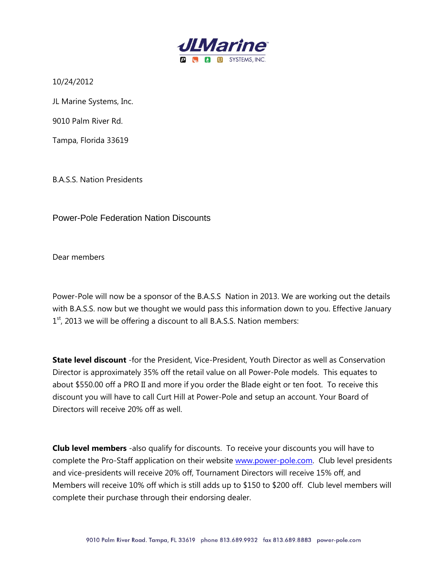

10/24/2012

JL Marine Systems, Inc.

9010 Palm River Rd.

Tampa, Florida 33619

B.A.S.S. Nation Presidents

Power-Pole Federation Nation Discounts

Dear members

Power-Pole will now be a sponsor of the B.A.S.S Nation in 2013. We are working out the details with B.A.S.S. now but we thought we would pass this information down to you. Effective January 1<sup>st</sup>, 2013 we will be offering a discount to all B.A.S.S. Nation members:

**State level discount** -for the President, Vice-President, Youth Director as well as Conservation Director is approximately 35% off the retail value on all Power-Pole models. This equates to about \$550.00 off a PRO II and more if you order the Blade eight or ten foot. To receive this discount you will have to call Curt Hill at Power-Pole and setup an account. Your Board of Directors will receive 20% off as well.

**Club level members** -also qualify for discounts. To receive your discounts you will have to complete the Pro-Staff application on their website www.power-pole.com. Club level presidents and vice-presidents will receive 20% off, Tournament Directors will receive 15% off, and Members will receive 10% off which is still adds up to \$150 to \$200 off. Club level members will complete their purchase through their endorsing dealer.